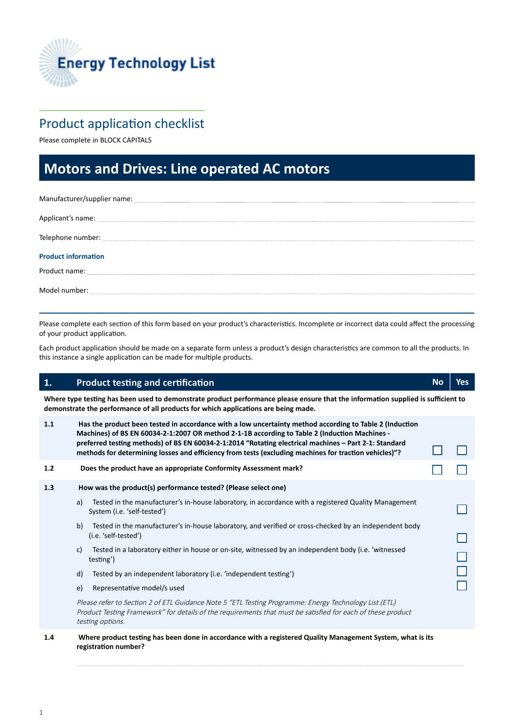

## Product application checklist

Please complete in BLOCK CAPITALS

# **Motors and Drives: Line operated AC motors motors**

| Manufacturer/supplier name: contract to the contract of the contract of the contract of the contract of the contract of the contract of the contract of the contract of the contract of the contract of the contract of the co |
|--------------------------------------------------------------------------------------------------------------------------------------------------------------------------------------------------------------------------------|
| Applicant's name: experience and a series of the series of the series of the series of the series of the series of the series of the series of the series of the series of the series of the series of the series of the serie |
|                                                                                                                                                                                                                                |
| <b>Product information</b>                                                                                                                                                                                                     |
| Product name: example and a series of the series of the series of the series of the series of the series of the                                                                                                                |
|                                                                                                                                                                                                                                |

Please complete each section of this form based on your product's characteristics. Incomplete or incorrect data could affect the processing of your product application.

Each product application should be made on a separate form unless a product's design characteristics are common to all the products. In this instance a single application can be made for multiple products.

### **1. Product testing and certification CERTIC CERTIFICATION No Yes No Yes**

**Where type testing has been used to demonstrate product performance please ensure that the information supplied is sufficient to demonstrate the performance of all products for which applications are being made.** 

| 1.1 |    | Has the product been tested in accordance with a low uncertainty method according to Table 2 (Induction<br>Machines) of BS EN 60034-2-1:2007 OR method 2-1-1B according to Table 2 (Induction Machines -<br>preferred testing methods) of BS EN 60034-2-1:2014 "Rotating electrical machines - Part 2-1: Standard<br>methods for determining losses and efficiency from tests (excluding machines for traction vehicles)"? |  |
|-----|----|----------------------------------------------------------------------------------------------------------------------------------------------------------------------------------------------------------------------------------------------------------------------------------------------------------------------------------------------------------------------------------------------------------------------------|--|
| 1.2 |    | Does the product have an appropriate Conformity Assessment mark?                                                                                                                                                                                                                                                                                                                                                           |  |
| 1.3 |    | How was the product(s) performance tested? (Please select one)                                                                                                                                                                                                                                                                                                                                                             |  |
|     | a) | Tested in the manufacturer's in-house laboratory, in accordance with a registered Quality Management<br>System (i.e. 'self-tested')                                                                                                                                                                                                                                                                                        |  |
|     | b) | Tested in the manufacturer's in-house laboratory, and verified or cross-checked by an independent body<br>(i.e. 'self-tested')                                                                                                                                                                                                                                                                                             |  |
|     | c) | Tested in a laboratory either in house or on-site, witnessed by an independent body (i.e. 'witnessed<br>testing')                                                                                                                                                                                                                                                                                                          |  |
|     | d) | Tested by an independent laboratory (i.e. 'independent testing')                                                                                                                                                                                                                                                                                                                                                           |  |
|     | e) | Representative model/s used                                                                                                                                                                                                                                                                                                                                                                                                |  |
|     |    | Please refer to Section 2 of ETL Guidance Note 5 "ETL Testing Programme: Energy Technology List (ETL)<br>Product Testing Framework" for details of the requirements that must be satisfied for each of these product<br>testing options.                                                                                                                                                                                   |  |
| 1.4 |    | Where product testing has been done in accordance with a registered Quality Management System, what is its<br>registration number?                                                                                                                                                                                                                                                                                         |  |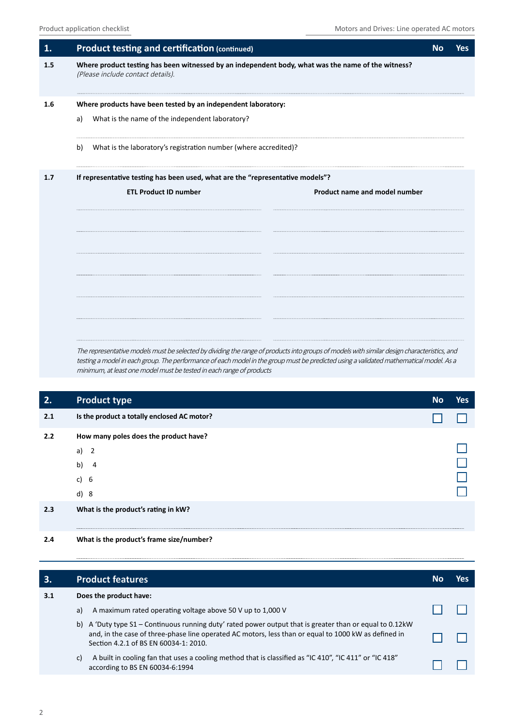| <b>Product testing and certification (continued)</b>                                                                                            | <b>No</b> | <b>Yes</b> |
|-------------------------------------------------------------------------------------------------------------------------------------------------|-----------|------------|
| Where product testing has been witnessed by an independent body, what was the name of the witness?<br>(Please include contact details).         |           |            |
| Where products have been tested by an independent laboratory:<br>What is the name of the independent laboratory?<br>a)                          |           |            |
| What is the laboratory's registration number (where accredited)?<br>b)                                                                          |           |            |
| If representative testing has been used, what are the "representative models"?<br><b>ETL Product ID number</b><br>Product name and model number |           |            |
|                                                                                                                                                 |           |            |

The representative models must be selected by dividing the range of products into groups of models with similar design characteristics, and testing a model in each group. The performance of each model in the group must be predicted using a validated mathematical model. As a minimum, at least one model must be tested in each range of products

| 2.  | Product type                                                                              | <b>No</b> | <b>Yes</b> |
|-----|-------------------------------------------------------------------------------------------|-----------|------------|
| 2.1 | Is the product a totally enclosed AC motor?                                               |           |            |
| 2.2 | How many poles does the product have?<br>a) $2$<br>b)<br>$\overline{4}$<br>c) $6$<br>d) 8 |           |            |
| 2.3 | What is the product's rating in kW?                                                       |           |            |

**2.4 What is the product's frame size/number?** 

| <b>B.</b> | <b>Product features</b>                                                                                                                                                                                                                                   |  | YAS |  |  |  |  |
|-----------|-----------------------------------------------------------------------------------------------------------------------------------------------------------------------------------------------------------------------------------------------------------|--|-----|--|--|--|--|
| 3.1       | Does the product have:                                                                                                                                                                                                                                    |  |     |  |  |  |  |
|           | A maximum rated operating voltage above 50 V up to 1,000 V<br>a)                                                                                                                                                                                          |  |     |  |  |  |  |
|           | b) A 'Duty type S1 – Continuous running duty' rated power output that is greater than or equal to 0.12kW<br>and, in the case of three-phase line operated AC motors, less than or equal to 1000 kW as defined in<br>Section 4.2.1 of BS EN 60034-1: 2010. |  |     |  |  |  |  |
|           | A built in cooling fan that uses a cooling method that is classified as "IC 410", "IC 411" or "IC 418"<br>C)<br>according to BS EN 60034-6:1994                                                                                                           |  |     |  |  |  |  |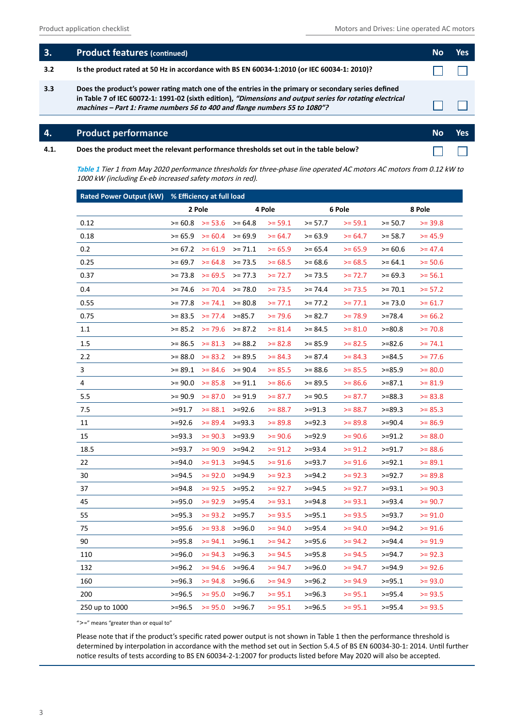$\Box$ 

| 3.  | <b>Product features (continued)</b>                                                                                                                                                                                                                                                            | /es |
|-----|------------------------------------------------------------------------------------------------------------------------------------------------------------------------------------------------------------------------------------------------------------------------------------------------|-----|
| 3.2 | Is the product rated at 50 Hz in accordance with BS EN 60034-1:2010 (or IEC 60034-1: 2010)?                                                                                                                                                                                                    |     |
| 3.3 | Does the product's power rating match one of the entries in the primary or secondary series defined<br>in Table 7 of IEC 60072-1: 1991-02 (sixth edition), "Dimensions and output series for rotating electrical<br>machines - Part 1: Frame numbers 56 to 400 and flange numbers 55 to 1080"? |     |
|     |                                                                                                                                                                                                                                                                                                |     |

### **4. Product performance performance No Yes**

**4.1. Does the product meet the relevant performance thresholds set out in the table below?** 

**Table 1** Tier 1 from May 2020 performance thresholds for three-phase line operated AC motors AC motors from 0.12 kW to 1000 kW (including Ex-eb increased safety motors in red).

|                | Rated Power Output (kW) % Efficiency at full load |                  |           |           |           |           |           |           |
|----------------|---------------------------------------------------|------------------|-----------|-----------|-----------|-----------|-----------|-----------|
|                |                                                   | 2 Pole<br>4 Pole |           |           |           | 6 Pole    |           | 8 Pole    |
| 0.12           | $>= 60.8$                                         | $>= 53.6$        | $>= 64.8$ | $>= 59.1$ | $>= 57.7$ | $>= 59.1$ | $>= 50.7$ | $>= 39.8$ |
| 0.18           | $>= 65.9$                                         | $>= 60.4$        | $>= 69.9$ | $>= 64.7$ | $>= 63.9$ | $>= 64.7$ | $>= 58.7$ | $>= 45.9$ |
| 0.2            | $>= 67.2$                                         | $>= 61.9$        | $>= 71.1$ | $>= 65.9$ | $>= 65.4$ | $>= 65.9$ | $>= 60.6$ | $>= 47.4$ |
| 0.25           | $>= 69.7$                                         | $>= 64.8$        | $>= 73.5$ | $>= 68.5$ | $>= 68.6$ | $>= 68.5$ | $>= 64.1$ | $>= 50.6$ |
| 0.37           | $>= 73.8$                                         | $>= 69.5$        | $>= 77.3$ | $>= 72.7$ | $>= 73.5$ | $>= 72.7$ | $>= 69.3$ | $>= 56.1$ |
| 0.4            | $>= 74.6$                                         | $>= 70.4$        | $>= 78.0$ | $>= 73.5$ | $>= 74.4$ | $>= 73.5$ | $>= 70.1$ | $>= 57.2$ |
| 0.55           | $>= 77.8$                                         | $>= 74.1$        | $>= 80.8$ | $>= 77.1$ | $>= 77.2$ | $>= 77.1$ | $>= 73.0$ | $>= 61.7$ |
| 0.75           | $>= 83.5$                                         | $>= 77.4$        | $>=85.7$  | $>= 79.6$ | $>= 82.7$ | $>= 78.9$ | $>= 78.4$ | $>= 66.2$ |
| 1.1            | $>= 85.2$                                         | $>= 79.6$        | $>= 87.2$ | $>= 81.4$ | $>= 84.5$ | $>= 81.0$ | $>= 80.8$ | $>= 70.8$ |
| 1.5            | $>= 86.5$                                         | $>= 81.3$        | $>= 88.2$ | $>= 82.8$ | $>= 85.9$ | $>= 82.5$ | $>= 82.6$ | $>= 74.1$ |
| 2.2            | $>= 88.0$                                         | $>= 83.2$        | $>= 89.5$ | $>= 84.3$ | $>= 87.4$ | $>= 84.3$ | $>= 84.5$ | $>= 77.6$ |
| 3              | $>= 89.1$                                         | $>= 84.6$        | $>= 90.4$ | $>= 85.5$ | $>= 88.6$ | $>= 85.5$ | $>= 85.9$ | $>= 80.0$ |
| 4              | $>= 90.0$                                         | $>= 85.8$        | $>= 91.1$ | $>= 86.6$ | $>= 89.5$ | $>= 86.6$ | >=87.1    | $>= 81.9$ |
| 5.5            | $>= 90.9$                                         | $>= 87.0$        | $>= 91.9$ | $>= 87.7$ | $>= 90.5$ | $>= 87.7$ | $>= 88.3$ | $>= 83.8$ |
| 7.5            | $>=91.7$                                          | $>= 88.1$        | $>= 92.6$ | $>= 88.7$ | $>= 91.3$ | $>= 88.7$ | $>= 89.3$ | $>= 85.3$ |
| 11             | $>=$ 92.6                                         | $>= 89.4$        | $>= 93.3$ | $>= 89.8$ | >=92.3    | $>= 89.8$ | $>=$ 90.4 | $>= 86.9$ |
| 15             | $>=93.3$                                          | $>= 90.3$        | $>=93.9$  | $>= 90.6$ | $>=92.9$  | $>= 90.6$ | $>=91.2$  | $>= 88.0$ |
| 18.5           | $>=93.7$                                          | $>= 90.9$        | $>= 94.2$ | $>= 91.2$ | $>=$ 93.4 | $>= 91.2$ | $>=91.7$  | $>= 88.6$ |
| 22             | $>=$ 94.0                                         | $>= 91.3$        | $>= 94.5$ | $>= 91.6$ | $>=$ 93.7 | $>= 91.6$ | $>=$ 92.1 | $>= 89.1$ |
| 30             | $>=$ 94.5                                         | $>= 92.0$        | $>= 94.9$ | $>= 92.3$ | $>= 94.2$ | $>= 92.3$ | $>=92.7$  | $>= 89.8$ |
| 37             | $>=$ 94.8                                         | $>= 92.5$        | $>=95.2$  | $>= 92.7$ | $>=$ 94.5 | $>= 92.7$ | $>=$ 93.1 | $>= 90.3$ |
| 45             | $>=95.0$                                          | $>= 92.9$        | $>= 95.4$ | $>= 93.1$ | $>=$ 94.8 | $>= 93.1$ | $>= 93.4$ | $>= 90.7$ |
| 55             | $>= 95.3$                                         | $>= 93.2$        | $>=95.7$  | $>= 93.5$ | $>=$ 95.1 | $>= 93.5$ | $>=93.7$  | $>= 91.0$ |
| 75             | $>= 95.6$                                         | $>= 93.8$        | $>= 96.0$ | $>= 94.0$ | $>= 95.4$ | $>= 94.0$ | $>= 94.2$ | $>= 91.6$ |
| 90             | $>= 95.8$                                         | $>= 94.1$        | $>= 96.1$ | $>= 94.2$ | $>=$ 95.6 | $>= 94.2$ | >=94.4    | $>= 91.9$ |
| 110            | $>= 96.0$                                         | $>= 94.3$        | $>= 96.3$ | $>= 94.5$ | $>=95.8$  | $>= 94.5$ | $>=$ 94.7 | $>= 92.3$ |
| 132            | $>=$ 96.2                                         | $>= 94.6$        | $>= 96.4$ | $>= 94.7$ | $>= 96.0$ | $>= 94.7$ | $>= 94.9$ | $>= 92.6$ |
| 160            | $>= 96.3$                                         | $>= 94.8$        | $>= 96.6$ | $>= 94.9$ | $>=$ 96.2 | $>= 94.9$ | $>=$ 95.1 | $>= 93.0$ |
| 200            | $>= 96.5$                                         | $>= 95.0$        | $>= 96.7$ | $>= 95.1$ | $>=$ 96.3 | $>= 95.1$ | $>=$ 95.4 | $>= 93.5$ |
| 250 up to 1000 | $>= 96.5$                                         | $>= 95.0$        | $>= 96.7$ | $>= 95.1$ | $>=$ 96.5 | $>= 95.1$ | $>=95.4$  | $>= 93.5$ |

">=" means "greater than or equal to"

Please note that if the product's specific rated power output is not shown in Table 1 then the performance threshold is determined by interpolation in accordance with the method set out in Section 5.4.5 of BS EN 60034-30-1: 2014. Until further notice results of tests according to BS EN 60034-2-1:2007 for products listed before May 2020 will also be accepted.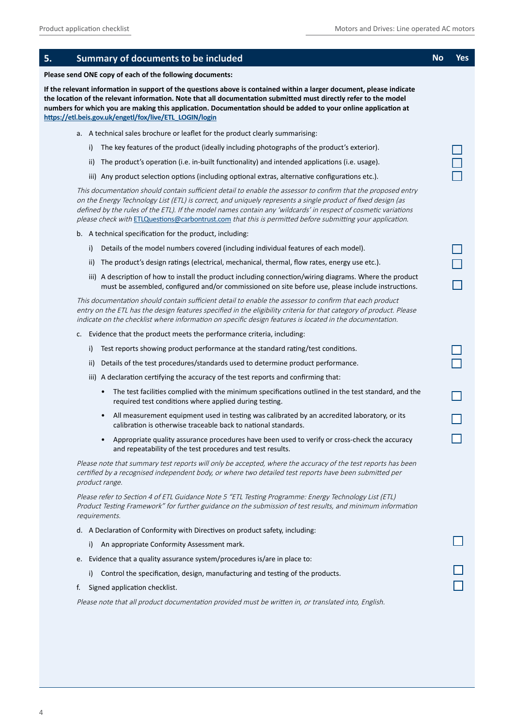| 5.<br>Summary of documents to be included                                                                                                                                                                                                                                                                                                                                                                                                                    | No | Yes |
|--------------------------------------------------------------------------------------------------------------------------------------------------------------------------------------------------------------------------------------------------------------------------------------------------------------------------------------------------------------------------------------------------------------------------------------------------------------|----|-----|
| Please send ONE copy of each of the following documents:                                                                                                                                                                                                                                                                                                                                                                                                     |    |     |
| If the relevant information in support of the questions above is contained within a larger document, please indicate<br>the location of the relevant information. Note that all documentation submitted must directly refer to the model<br>numbers for which you are making this application. Documentation should be added to your online application at<br>https://etl.beis.gov.uk/engetl/fox/live/ETL_LOGIN/login                                        |    |     |
| a. A technical sales brochure or leaflet for the product clearly summarising:                                                                                                                                                                                                                                                                                                                                                                                |    |     |
| The key features of the product (ideally including photographs of the product's exterior).<br>i)                                                                                                                                                                                                                                                                                                                                                             |    |     |
| The product's operation (i.e. in-built functionality) and intended applications (i.e. usage).<br>ii)                                                                                                                                                                                                                                                                                                                                                         |    |     |
| iii) Any product selection options (including optional extras, alternative configurations etc.).                                                                                                                                                                                                                                                                                                                                                             |    |     |
| This documentation should contain sufficient detail to enable the assessor to confirm that the proposed entry<br>on the Energy Technology List (ETL) is correct, and uniquely represents a single product of fixed design (as<br>defined by the rules of the ETL). If the model names contain any 'wildcards' in respect of cosmetic variations<br>please check with ETLQuestions@carbontrust.com that this is permitted before submitting your application. |    |     |
| b. A technical specification for the product, including:                                                                                                                                                                                                                                                                                                                                                                                                     |    |     |
| Details of the model numbers covered (including individual features of each model).<br>i)                                                                                                                                                                                                                                                                                                                                                                    |    |     |
| The product's design ratings (electrical, mechanical, thermal, flow rates, energy use etc.).<br>ii)                                                                                                                                                                                                                                                                                                                                                          |    |     |
| iii) A description of how to install the product including connection/wiring diagrams. Where the product<br>must be assembled, configured and/or commissioned on site before use, please include instructions.                                                                                                                                                                                                                                               |    |     |
| This documentation should contain sufficient detail to enable the assessor to confirm that each product<br>entry on the ETL has the design features specified in the eligibility criteria for that category of product. Please<br>indicate on the checklist where information on specific design features is located in the documentation.                                                                                                                   |    |     |
| Evidence that the product meets the performance criteria, including:<br>c.                                                                                                                                                                                                                                                                                                                                                                                   |    |     |
| Test reports showing product performance at the standard rating/test conditions.<br>i)                                                                                                                                                                                                                                                                                                                                                                       |    |     |
| Details of the test procedures/standards used to determine product performance.<br>ii)                                                                                                                                                                                                                                                                                                                                                                       |    |     |
| iii) A declaration certifying the accuracy of the test reports and confirming that:                                                                                                                                                                                                                                                                                                                                                                          |    |     |
| The test facilities complied with the minimum specifications outlined in the test standard, and the<br>$\bullet$<br>required test conditions where applied during testing.                                                                                                                                                                                                                                                                                   |    |     |
| All measurement equipment used in testing was calibrated by an accredited laboratory, or its<br>$\bullet$<br>calibration is otherwise traceable back to national standards.                                                                                                                                                                                                                                                                                  |    |     |
| Appropriate quality assurance procedures have been used to verify or cross-check the accuracy<br>and repeatability of the test procedures and test results.                                                                                                                                                                                                                                                                                                  |    |     |
| Please note that summary test reports will only be accepted, where the accuracy of the test reports has been<br>certified by a recognised independent body, or where two detailed test reports have been submitted per<br>product range.                                                                                                                                                                                                                     |    |     |
| Please refer to Section 4 of ETL Guidance Note 5 "ETL Testing Programme: Energy Technology List (ETL)<br>Product Testing Framework" for further guidance on the submission of test results, and minimum information<br>requirements.                                                                                                                                                                                                                         |    |     |
| d. A Declaration of Conformity with Directives on product safety, including:                                                                                                                                                                                                                                                                                                                                                                                 |    |     |
| i)<br>An appropriate Conformity Assessment mark.                                                                                                                                                                                                                                                                                                                                                                                                             |    |     |
| e. Evidence that a quality assurance system/procedures is/are in place to:                                                                                                                                                                                                                                                                                                                                                                                   |    |     |
| Control the specification, design, manufacturing and testing of the products.<br>i)                                                                                                                                                                                                                                                                                                                                                                          |    |     |
| Signed application checklist.<br>f.                                                                                                                                                                                                                                                                                                                                                                                                                          |    |     |
| Please note that all product documentation provided must be written in, or translated into, English.                                                                                                                                                                                                                                                                                                                                                         |    |     |